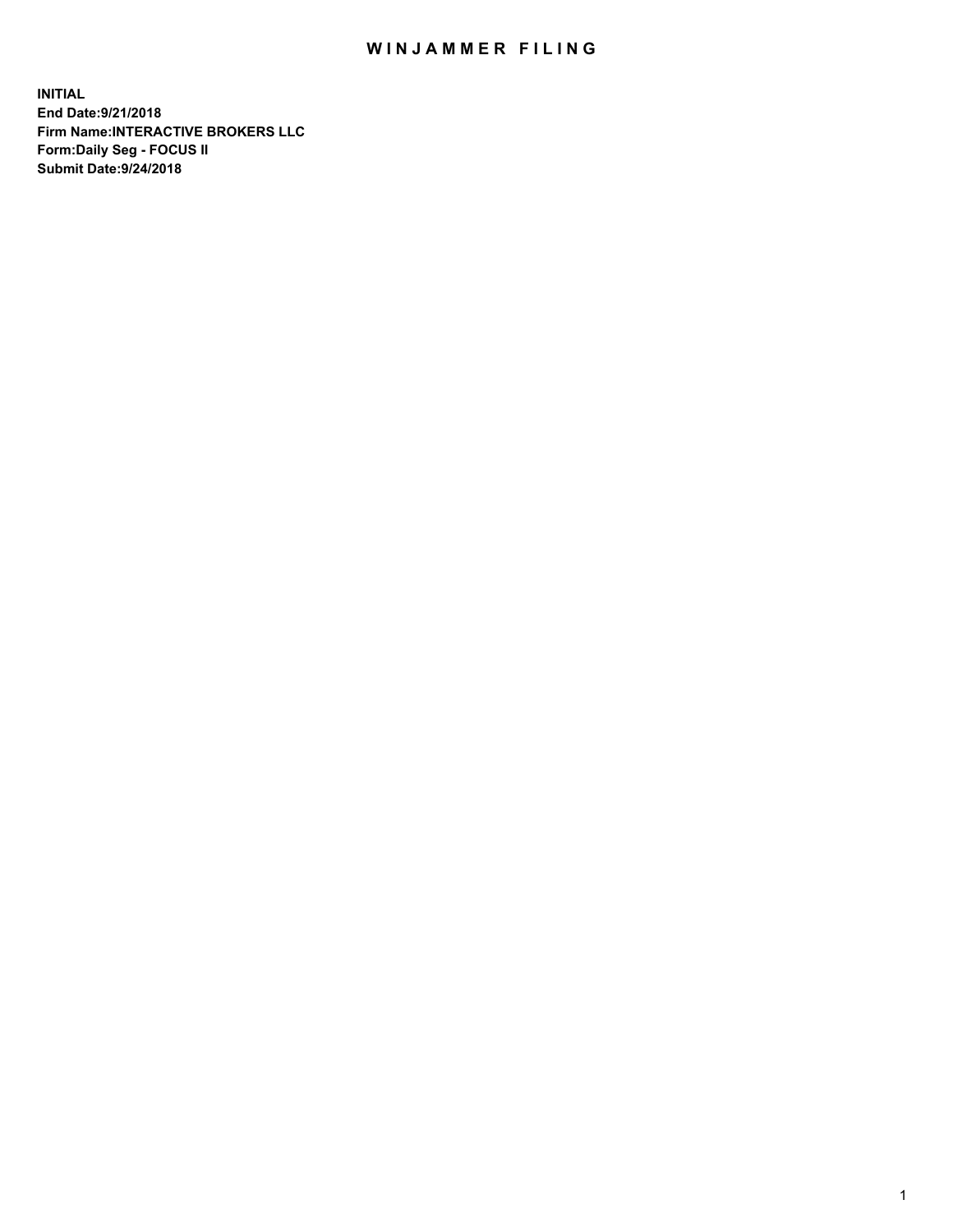## WIN JAMMER FILING

**INITIAL End Date:9/21/2018 Firm Name:INTERACTIVE BROKERS LLC Form:Daily Seg - FOCUS II Submit Date:9/24/2018**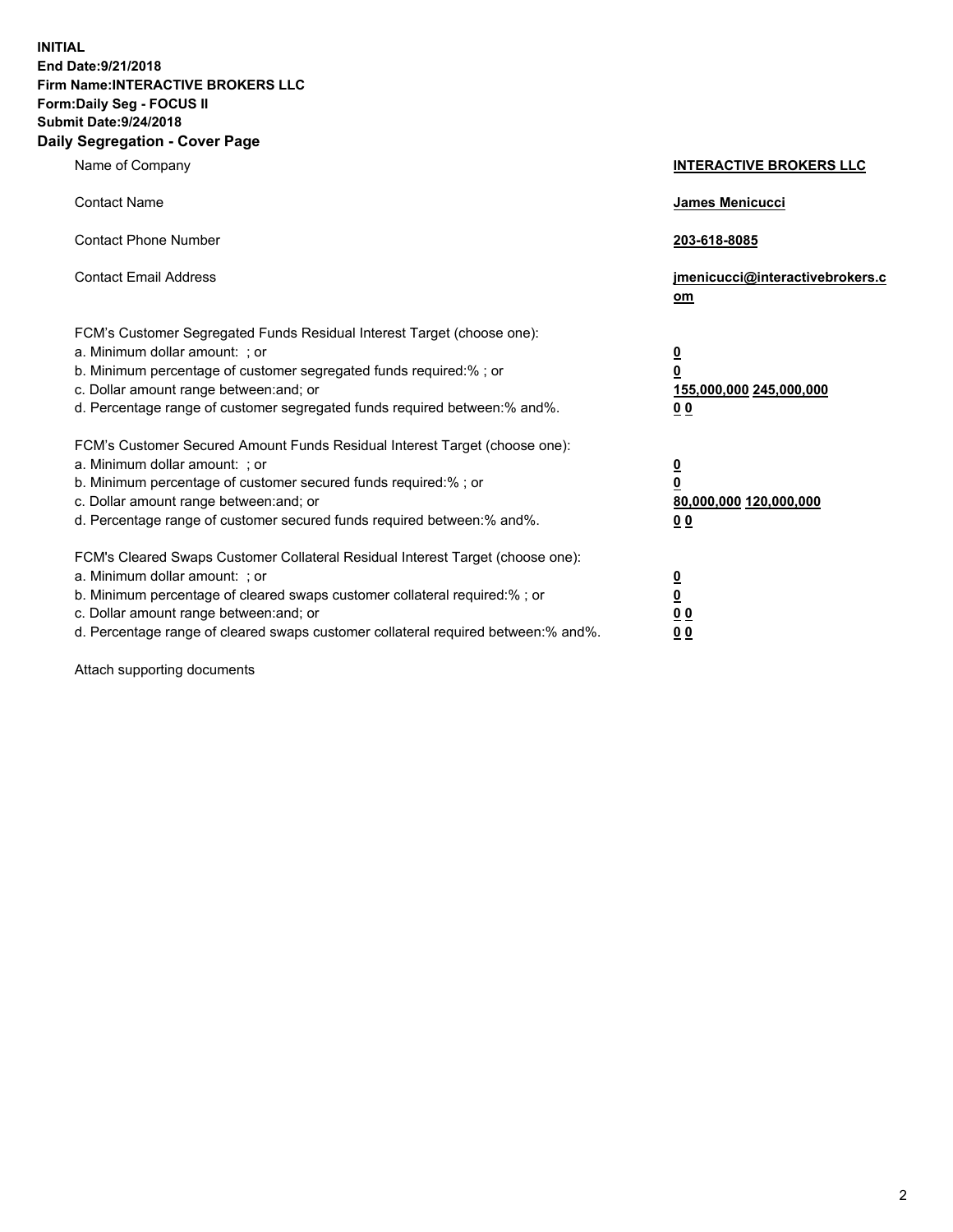**INITIAL End Date:9/21/2018 Firm Name:INTERACTIVE BROKERS LLC Form:Daily Seg - FOCUS II Submit Date:9/24/2018 Daily Segregation - Cover Page**

| Name of Company                                                                                                                                                                                                                                                                                                                | <b>INTERACTIVE BROKERS LLC</b>                                                                  |
|--------------------------------------------------------------------------------------------------------------------------------------------------------------------------------------------------------------------------------------------------------------------------------------------------------------------------------|-------------------------------------------------------------------------------------------------|
| <b>Contact Name</b>                                                                                                                                                                                                                                                                                                            | James Menicucci                                                                                 |
| <b>Contact Phone Number</b>                                                                                                                                                                                                                                                                                                    | 203-618-8085                                                                                    |
| <b>Contact Email Address</b>                                                                                                                                                                                                                                                                                                   | jmenicucci@interactivebrokers.c<br>om                                                           |
| FCM's Customer Segregated Funds Residual Interest Target (choose one):<br>a. Minimum dollar amount: ; or<br>b. Minimum percentage of customer segregated funds required:% ; or<br>c. Dollar amount range between: and; or<br>d. Percentage range of customer segregated funds required between:% and%.                         | $\overline{\mathbf{0}}$<br>$\overline{\mathbf{0}}$<br>155,000,000 245,000,000<br>0 <sub>0</sub> |
| FCM's Customer Secured Amount Funds Residual Interest Target (choose one):<br>a. Minimum dollar amount: ; or<br>b. Minimum percentage of customer secured funds required:% ; or<br>c. Dollar amount range between: and; or<br>d. Percentage range of customer secured funds required between:% and%.                           | $\overline{\mathbf{0}}$<br>0<br>80,000,000 120,000,000<br>0 <sub>0</sub>                        |
| FCM's Cleared Swaps Customer Collateral Residual Interest Target (choose one):<br>a. Minimum dollar amount: ; or<br>b. Minimum percentage of cleared swaps customer collateral required:% ; or<br>c. Dollar amount range between: and; or<br>d. Percentage range of cleared swaps customer collateral required between:% and%. | $\overline{\mathbf{0}}$<br><u>0</u><br>$\underline{0}$ $\underline{0}$<br>00                    |

Attach supporting documents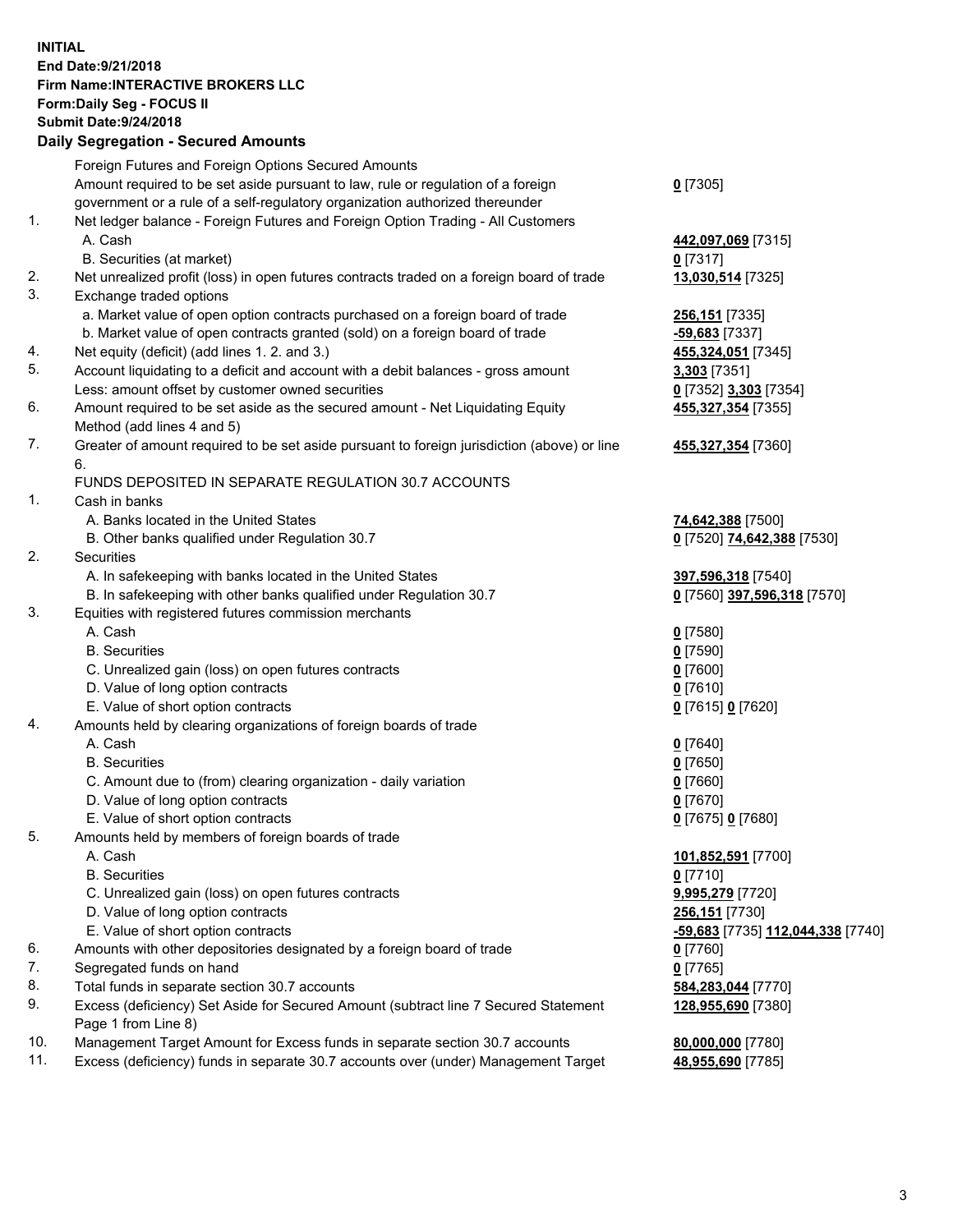## **INITIAL End Date:9/21/2018 Firm Name:INTERACTIVE BROKERS LLC Form:Daily Seg - FOCUS II Submit Date:9/24/2018 Daily Segregation - Secured Amounts**

|     | Daily Segregation - Secured Amounts                                                         |                                                          |
|-----|---------------------------------------------------------------------------------------------|----------------------------------------------------------|
|     | Foreign Futures and Foreign Options Secured Amounts                                         |                                                          |
|     | Amount required to be set aside pursuant to law, rule or regulation of a foreign            | $0$ [7305]                                               |
|     | government or a rule of a self-regulatory organization authorized thereunder                |                                                          |
| 1.  | Net ledger balance - Foreign Futures and Foreign Option Trading - All Customers             |                                                          |
|     | A. Cash                                                                                     | 442,097,069 [7315]                                       |
|     | B. Securities (at market)                                                                   | $0$ [7317]                                               |
| 2.  | Net unrealized profit (loss) in open futures contracts traded on a foreign board of trade   | 13,030,514 [7325]                                        |
| 3.  | Exchange traded options                                                                     |                                                          |
|     | a. Market value of open option contracts purchased on a foreign board of trade              | 256,151 [7335]                                           |
|     | b. Market value of open contracts granted (sold) on a foreign board of trade                | -59,683 [7337]                                           |
| 4.  | Net equity (deficit) (add lines 1. 2. and 3.)                                               | 455,324,051 [7345]                                       |
| 5.  | Account liquidating to a deficit and account with a debit balances - gross amount           | 3,303 [7351]                                             |
|     | Less: amount offset by customer owned securities                                            | 0 [7352] 3,303 [7354]                                    |
| 6.  | Amount required to be set aside as the secured amount - Net Liquidating Equity              | 455,327,354 [7355]                                       |
|     | Method (add lines 4 and 5)                                                                  |                                                          |
| 7.  | Greater of amount required to be set aside pursuant to foreign jurisdiction (above) or line | 455,327,354 [7360]                                       |
|     | 6.                                                                                          |                                                          |
|     | FUNDS DEPOSITED IN SEPARATE REGULATION 30.7 ACCOUNTS                                        |                                                          |
| 1.  | Cash in banks                                                                               |                                                          |
|     | A. Banks located in the United States                                                       | 74,642,388 [7500]                                        |
|     | B. Other banks qualified under Regulation 30.7                                              | 0 [7520] 74,642,388 [7530]                               |
| 2.  | Securities                                                                                  |                                                          |
|     | A. In safekeeping with banks located in the United States                                   | 397,596,318 [7540]                                       |
|     | B. In safekeeping with other banks qualified under Regulation 30.7                          | 0 [7560] 397,596,318 [7570]                              |
| 3.  | Equities with registered futures commission merchants                                       |                                                          |
|     | A. Cash                                                                                     | $0$ [7580]                                               |
|     | <b>B.</b> Securities                                                                        | $0$ [7590]                                               |
|     | C. Unrealized gain (loss) on open futures contracts<br>D. Value of long option contracts    | $0$ [7600]                                               |
|     | E. Value of short option contracts                                                          | $0$ [7610]<br>0 [7615] 0 [7620]                          |
| 4.  | Amounts held by clearing organizations of foreign boards of trade                           |                                                          |
|     | A. Cash                                                                                     | $0$ [7640]                                               |
|     | <b>B.</b> Securities                                                                        | $0$ [7650]                                               |
|     | C. Amount due to (from) clearing organization - daily variation                             | $0$ [7660]                                               |
|     | D. Value of long option contracts                                                           | $0$ [7670]                                               |
|     | E. Value of short option contracts                                                          | 0 [7675] 0 [7680]                                        |
| 5.  | Amounts held by members of foreign boards of trade                                          |                                                          |
|     | A. Cash                                                                                     | 101,852,591 [7700]                                       |
|     | <b>B.</b> Securities                                                                        | $0$ [7710]                                               |
|     | C. Unrealized gain (loss) on open futures contracts                                         | 9,995,279 [7720]                                         |
|     | D. Value of long option contracts                                                           | 256,151 [7730]                                           |
|     | E. Value of short option contracts                                                          | <u>-<b>59,683</b> [</u> 7735] <u>112,044,338 [</u> 7740] |
| 6.  | Amounts with other depositories designated by a foreign board of trade                      | 0 [7760]                                                 |
| 7.  | Segregated funds on hand                                                                    | $0$ [7765]                                               |
| 8.  | Total funds in separate section 30.7 accounts                                               | 584,283,044 [7770]                                       |
| 9.  | Excess (deficiency) Set Aside for Secured Amount (subtract line 7 Secured Statement         | 128,955,690 [7380]                                       |
|     | Page 1 from Line 8)                                                                         |                                                          |
| 10. | Management Target Amount for Excess funds in separate section 30.7 accounts                 | 80,000,000 [7780]                                        |
| 11. | Excess (deficiency) funds in separate 30.7 accounts over (under) Management Target          | 48,955,690 [7785]                                        |
|     |                                                                                             |                                                          |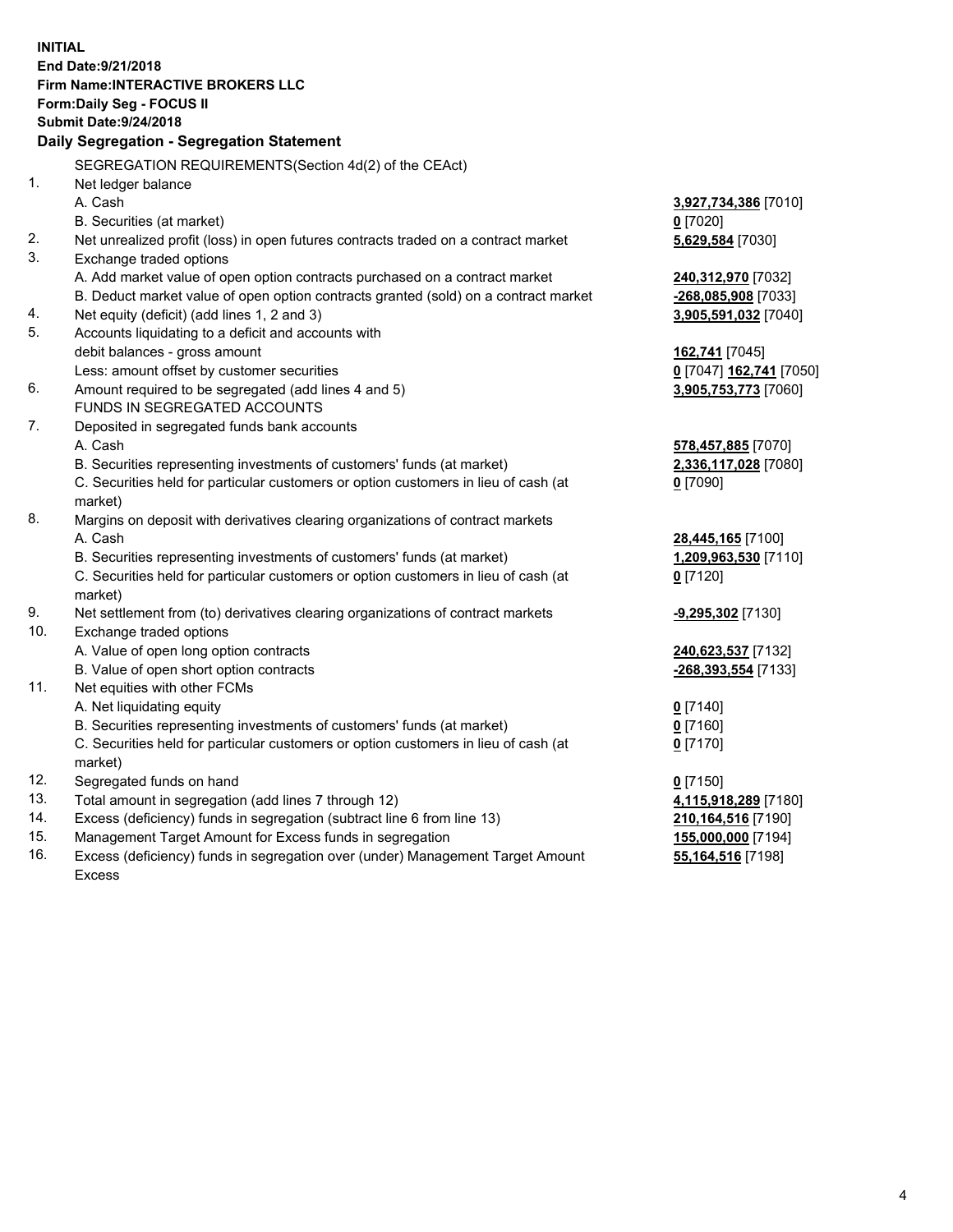**INITIAL End Date:9/21/2018 Firm Name:INTERACTIVE BROKERS LLC Form:Daily Seg - FOCUS II Submit Date:9/24/2018 Daily Segregation - Segregation Statement** SEGREGATION REQUIREMENTS(Section 4d(2) of the CEAct) 1. Net ledger balance A. Cash **3,927,734,386** [7010] B. Securities (at market) **0** [7020] 2. Net unrealized profit (loss) in open futures contracts traded on a contract market **5,629,584** [7030] 3. Exchange traded options A. Add market value of open option contracts purchased on a contract market **240,312,970** [7032] B. Deduct market value of open option contracts granted (sold) on a contract market **-268,085,908** [7033] 4. Net equity (deficit) (add lines 1, 2 and 3) **3,905,591,032** [7040] 5. Accounts liquidating to a deficit and accounts with debit balances - gross amount **162,741** [7045] Less: amount offset by customer securities **0** [7047] **162,741** [7050] 6. Amount required to be segregated (add lines 4 and 5) **3,905,753,773** [7060] FUNDS IN SEGREGATED ACCOUNTS 7. Deposited in segregated funds bank accounts A. Cash **578,457,885** [7070] B. Securities representing investments of customers' funds (at market) **2,336,117,028** [7080] C. Securities held for particular customers or option customers in lieu of cash (at market) **0** [7090] 8. Margins on deposit with derivatives clearing organizations of contract markets A. Cash **28,445,165** [7100] B. Securities representing investments of customers' funds (at market) **1,209,963,530** [7110] C. Securities held for particular customers or option customers in lieu of cash (at market) **0** [7120] 9. Net settlement from (to) derivatives clearing organizations of contract markets **-9,295,302** [7130] 10. Exchange traded options A. Value of open long option contracts **240,623,537** [7132] B. Value of open short option contracts **-268,393,554** [7133] 11. Net equities with other FCMs A. Net liquidating equity **0** [7140] B. Securities representing investments of customers' funds (at market) **0** [7160] C. Securities held for particular customers or option customers in lieu of cash (at market) **0** [7170] 12. Segregated funds on hand **0** [7150] 13. Total amount in segregation (add lines 7 through 12) **4,115,918,289** [7180] 14. Excess (deficiency) funds in segregation (subtract line 6 from line 13) **210,164,516** [7190] 15. Management Target Amount for Excess funds in segregation **155,000,000** [7194] **55,164,516** [7198]

16. Excess (deficiency) funds in segregation over (under) Management Target Amount Excess